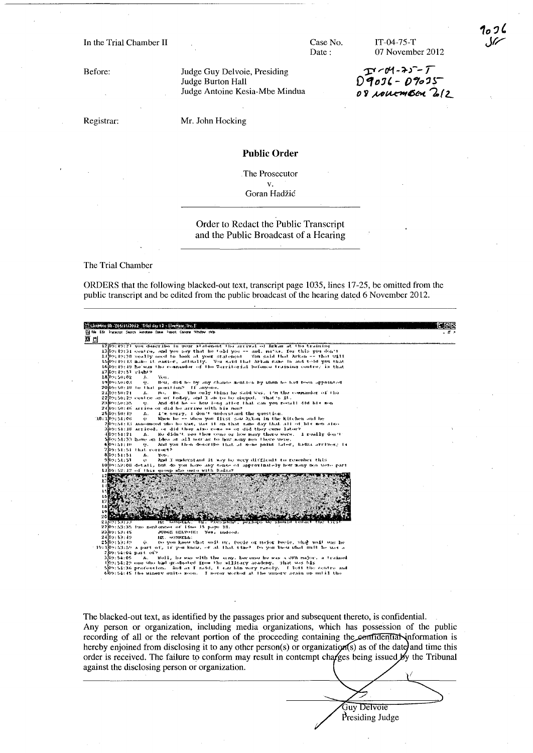In the Trial Chamber II

Before:

Registrar:

Mr. John Hocking

Judge Burton Hall

Judge Guy Delvoie, Presiding

Judge Antoine Kesia-Mbe Mindua

## **Public Order**

The Prosecutor  $\mathbf{V}$ Goran Hadžić

## Order to Redact the Public Transcript and the Public Broadcast of a Hearing

The Trial Chamber

ORDERS that the following blacked-out text, transcript page 1035, lines 17-25, be omitted from the public transcript and be edited from the public broadcast of the hearing dated 6 November 2012.



The blacked-out text, as identified by the passages prior and subsequent thereto, is confidential. Any person or organization, including media organizations, which has possession of the public recording of all or the relevant portion of the proceeding containing the confidential information is hereby enjoined from disclosing it to any other person(s) or organization(s) as of the date) and time this order is received. The failure to conform may result in contempt charges being issued by the Tribunal against the disclosing person or organization.

> Guy Delvoie Presiding Judge

Case No. Date:

 $IT-04-75-T$ 07 November 2012

 $27 - 04 - 25 - 1$ <br> $29036 - 09035$ 08 rouemen 212